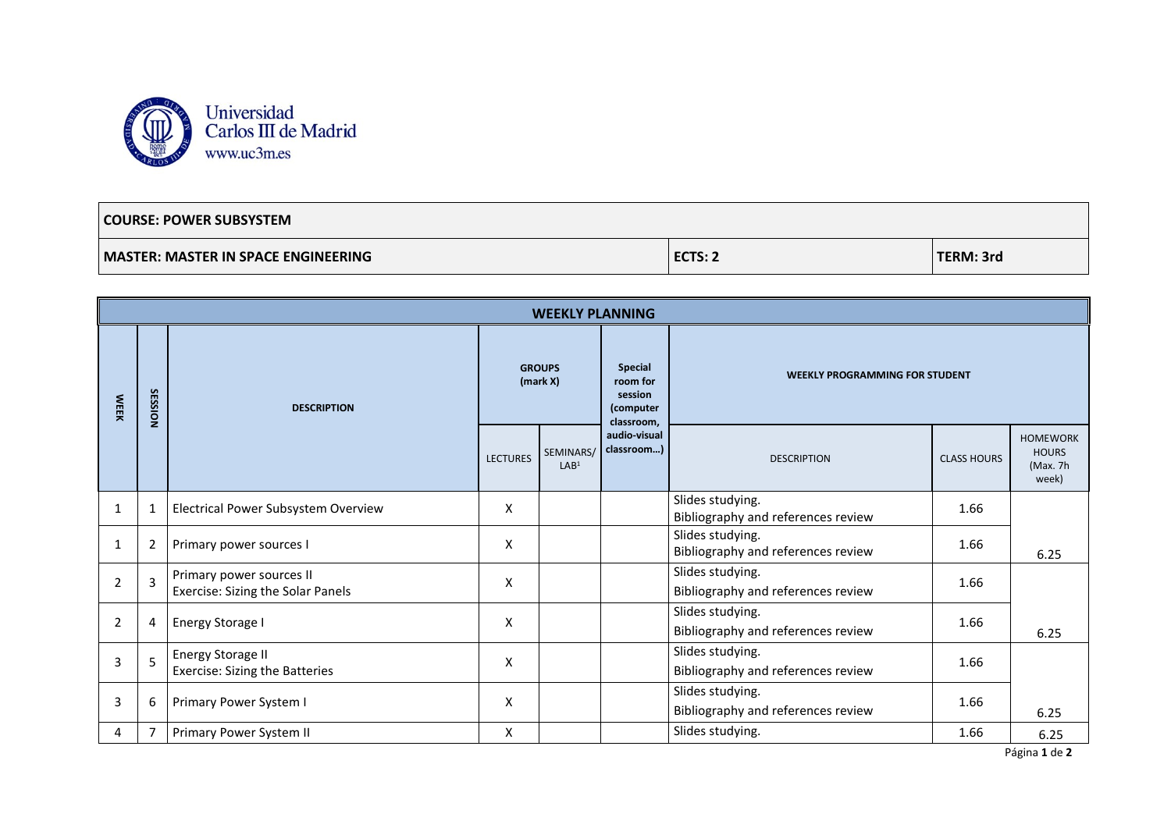

## **COURSE: POWER SUBSYSTEM MASTER: MASTER IN SPACE ENGINEERING ECTS: 2 TERM: 3rd**

| <b>WEEKLY PLANNING</b> |                |                                                               |                           |                               |                                                           |                                                        |                    |                                                      |  |
|------------------------|----------------|---------------------------------------------------------------|---------------------------|-------------------------------|-----------------------------------------------------------|--------------------------------------------------------|--------------------|------------------------------------------------------|--|
| <b>WEEK</b>            | <b>SESSION</b> | <b>DESCRIPTION</b>                                            | <b>GROUPS</b><br>(maxk X) |                               | Special<br>room for<br>session<br>(computer<br>classroom, | <b>WEEKLY PROGRAMMING FOR STUDENT</b>                  |                    |                                                      |  |
|                        |                |                                                               | <b>LECTURES</b>           | SEMINARS/<br>LAB <sup>1</sup> | audio-visual<br>classroom)                                | <b>DESCRIPTION</b>                                     | <b>CLASS HOURS</b> | <b>HOMEWORK</b><br><b>HOURS</b><br>(Max. 7h<br>week) |  |
| 1                      | $\mathbf{1}$   | Electrical Power Subsystem Overview                           | X                         |                               |                                                           | Slides studying.<br>Bibliography and references review | 1.66               |                                                      |  |
| 1                      | 2              | Primary power sources I                                       | X                         |                               |                                                           | Slides studying.<br>Bibliography and references review | 1.66               | 6.25                                                 |  |
| 2                      | 3              | Primary power sources II<br>Exercise: Sizing the Solar Panels | X                         |                               |                                                           | Slides studying.<br>Bibliography and references review | 1.66               |                                                      |  |
| $\overline{2}$         | 4              | <b>Energy Storage I</b>                                       | X                         |                               |                                                           | Slides studying.<br>Bibliography and references review | 1.66               | 6.25                                                 |  |
| 3                      | 5              | <b>Energy Storage II</b><br>Exercise: Sizing the Batteries    | X                         |                               |                                                           | Slides studying.<br>Bibliography and references review | 1.66               |                                                      |  |
| 3                      | 6              | Primary Power System I                                        | X                         |                               |                                                           | Slides studying.<br>Bibliography and references review | 1.66               | 6.25                                                 |  |
| 4                      | 7              | Primary Power System II                                       | X                         |                               |                                                           | Slides studying.                                       | 1.66               | 6.25                                                 |  |